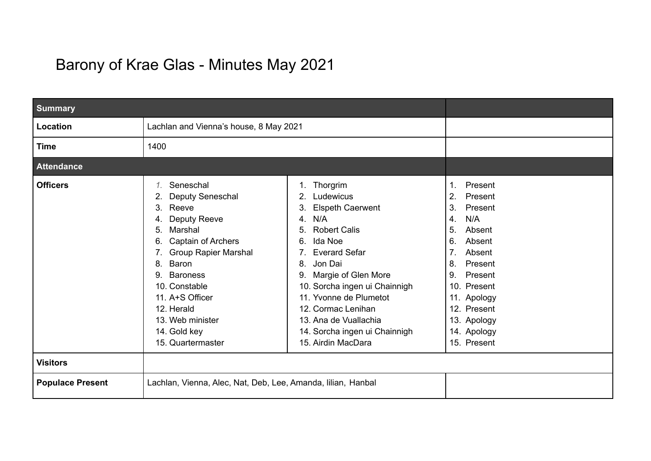## Barony of Krae Glas - Minutes May 2021

| <b>Summary</b>          |                                                                                                                                                                                                                                                                                                               |                                                                                                                                                                                                                                                                                                                                                                   |                                                                                                                                                                                                                                          |
|-------------------------|---------------------------------------------------------------------------------------------------------------------------------------------------------------------------------------------------------------------------------------------------------------------------------------------------------------|-------------------------------------------------------------------------------------------------------------------------------------------------------------------------------------------------------------------------------------------------------------------------------------------------------------------------------------------------------------------|------------------------------------------------------------------------------------------------------------------------------------------------------------------------------------------------------------------------------------------|
| Location                | Lachlan and Vienna's house, 8 May 2021                                                                                                                                                                                                                                                                        |                                                                                                                                                                                                                                                                                                                                                                   |                                                                                                                                                                                                                                          |
| <b>Time</b>             | 1400                                                                                                                                                                                                                                                                                                          |                                                                                                                                                                                                                                                                                                                                                                   |                                                                                                                                                                                                                                          |
| <b>Attendance</b>       |                                                                                                                                                                                                                                                                                                               |                                                                                                                                                                                                                                                                                                                                                                   |                                                                                                                                                                                                                                          |
| <b>Officers</b>         | Seneschal<br>1.<br>Deputy Seneschal<br>2.<br>Reeve<br>3.<br>Deputy Reeve<br>4.<br>Marshal<br>5.<br>Captain of Archers<br>6.<br><b>Group Rapier Marshal</b><br>Baron<br>8.<br><b>Baroness</b><br>9.<br>10. Constable<br>11. A+S Officer<br>12. Herald<br>13. Web minister<br>14. Gold key<br>15. Quartermaster | 1. Thorgrim<br>Ludewicus<br>2.<br><b>Elspeth Caerwent</b><br>3.<br>N/A<br>4.<br><b>Robert Calis</b><br>5.<br>Ida Noe<br>6.<br><b>Everard Sefar</b><br>Jon Dai<br>8.<br>Margie of Glen More<br>9.<br>10. Sorcha ingen ui Chainnigh<br>11. Yvonne de Plumetot<br>12. Cormac Lenihan<br>13. Ana de Vuallachia<br>14. Sorcha ingen ui Chainnigh<br>15. Airdin MacDara | Present<br>1.<br>2.<br>Present<br>3.<br>Present<br>N/A<br>4.<br>Absent<br>5.<br>6.<br>Absent<br>Absent<br>7.<br>Present<br>8.<br>Present<br>9.<br>10. Present<br>11. Apology<br>12. Present<br>13. Apology<br>14. Apology<br>15. Present |
| <b>Visitors</b>         |                                                                                                                                                                                                                                                                                                               |                                                                                                                                                                                                                                                                                                                                                                   |                                                                                                                                                                                                                                          |
| <b>Populace Present</b> | Lachlan, Vienna, Alec, Nat, Deb, Lee, Amanda, Iilian, Hanbal                                                                                                                                                                                                                                                  |                                                                                                                                                                                                                                                                                                                                                                   |                                                                                                                                                                                                                                          |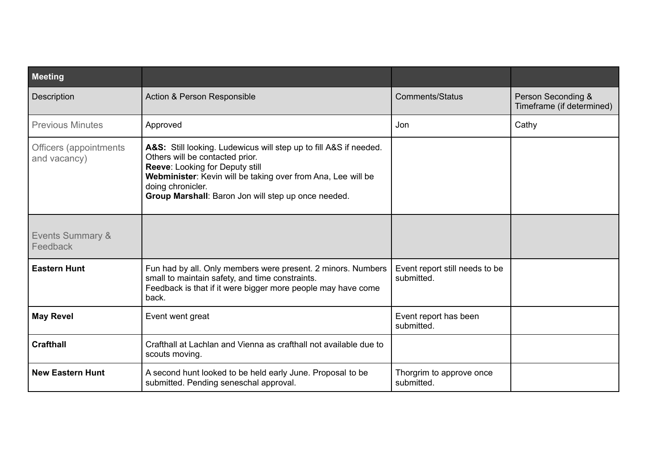| <b>Meeting</b>                          |                                                                                                                                                                                                                                                                                     |                                              |                                                 |
|-----------------------------------------|-------------------------------------------------------------------------------------------------------------------------------------------------------------------------------------------------------------------------------------------------------------------------------------|----------------------------------------------|-------------------------------------------------|
| Description                             | Action & Person Responsible                                                                                                                                                                                                                                                         | <b>Comments/Status</b>                       | Person Seconding &<br>Timeframe (if determined) |
| <b>Previous Minutes</b>                 | Approved                                                                                                                                                                                                                                                                            | Jon                                          | Cathy                                           |
| Officers (appointments<br>and vacancy)  | A&S: Still looking. Ludewicus will step up to fill A&S if needed.<br>Others will be contacted prior.<br>Reeve: Looking for Deputy still<br>Webminister: Kevin will be taking over from Ana, Lee will be<br>doing chronicler.<br>Group Marshall: Baron Jon will step up once needed. |                                              |                                                 |
| <b>Events Summary &amp;</b><br>Feedback |                                                                                                                                                                                                                                                                                     |                                              |                                                 |
| <b>Eastern Hunt</b>                     | Fun had by all. Only members were present. 2 minors. Numbers<br>small to maintain safety, and time constraints.<br>Feedback is that if it were bigger more people may have come<br>back.                                                                                            | Event report still needs to be<br>submitted. |                                                 |
| <b>May Revel</b>                        | Event went great                                                                                                                                                                                                                                                                    | Event report has been<br>submitted.          |                                                 |
| <b>Crafthall</b>                        | Crafthall at Lachlan and Vienna as crafthall not available due to<br>scouts moving.                                                                                                                                                                                                 |                                              |                                                 |
| <b>New Eastern Hunt</b>                 | A second hunt looked to be held early June. Proposal to be<br>submitted. Pending seneschal approval.                                                                                                                                                                                | Thorgrim to approve once<br>submitted.       |                                                 |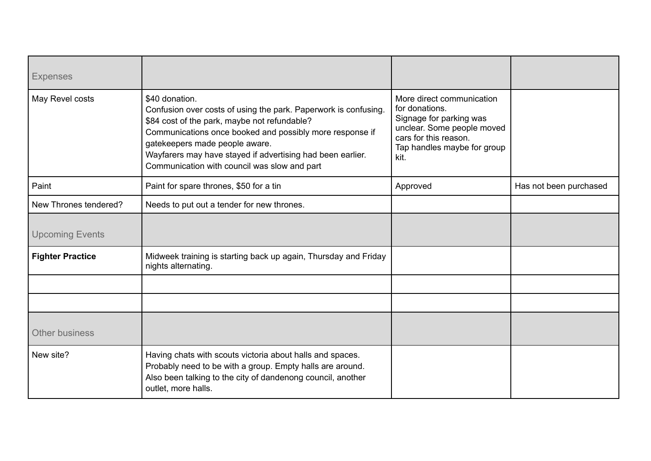| <b>Expenses</b>         |                                                                                                                                                                                                                                                                                                                                               |                                                                                                                                                                      |                        |
|-------------------------|-----------------------------------------------------------------------------------------------------------------------------------------------------------------------------------------------------------------------------------------------------------------------------------------------------------------------------------------------|----------------------------------------------------------------------------------------------------------------------------------------------------------------------|------------------------|
| May Revel costs         | \$40 donation.<br>Confusion over costs of using the park. Paperwork is confusing.<br>\$84 cost of the park, maybe not refundable?<br>Communications once booked and possibly more response if<br>gatekeepers made people aware.<br>Wayfarers may have stayed if advertising had been earlier.<br>Communication with council was slow and part | More direct communication<br>for donations.<br>Signage for parking was<br>unclear. Some people moved<br>cars for this reason.<br>Tap handles maybe for group<br>kit. |                        |
| Paint                   | Paint for spare thrones, \$50 for a tin                                                                                                                                                                                                                                                                                                       | Approved                                                                                                                                                             | Has not been purchased |
| New Thrones tendered?   | Needs to put out a tender for new thrones.                                                                                                                                                                                                                                                                                                    |                                                                                                                                                                      |                        |
| <b>Upcoming Events</b>  |                                                                                                                                                                                                                                                                                                                                               |                                                                                                                                                                      |                        |
| <b>Fighter Practice</b> | Midweek training is starting back up again, Thursday and Friday<br>nights alternating.                                                                                                                                                                                                                                                        |                                                                                                                                                                      |                        |
|                         |                                                                                                                                                                                                                                                                                                                                               |                                                                                                                                                                      |                        |
|                         |                                                                                                                                                                                                                                                                                                                                               |                                                                                                                                                                      |                        |
| <b>Other business</b>   |                                                                                                                                                                                                                                                                                                                                               |                                                                                                                                                                      |                        |
| New site?               | Having chats with scouts victoria about halls and spaces.<br>Probably need to be with a group. Empty halls are around.<br>Also been talking to the city of dandenong council, another<br>outlet, more halls.                                                                                                                                  |                                                                                                                                                                      |                        |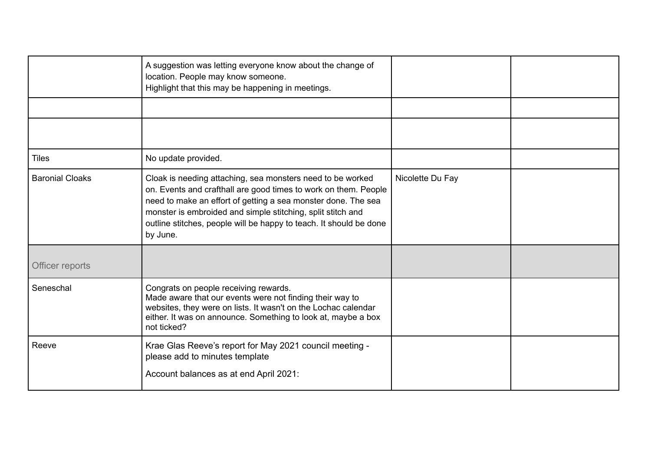|                        | A suggestion was letting everyone know about the change of<br>location. People may know someone.<br>Highlight that this may be happening in meetings.                                                                                                                                                                                           |                  |  |
|------------------------|-------------------------------------------------------------------------------------------------------------------------------------------------------------------------------------------------------------------------------------------------------------------------------------------------------------------------------------------------|------------------|--|
|                        |                                                                                                                                                                                                                                                                                                                                                 |                  |  |
|                        |                                                                                                                                                                                                                                                                                                                                                 |                  |  |
| <b>Tiles</b>           | No update provided.                                                                                                                                                                                                                                                                                                                             |                  |  |
| <b>Baronial Cloaks</b> | Cloak is needing attaching, sea monsters need to be worked<br>on. Events and crafthall are good times to work on them. People<br>need to make an effort of getting a sea monster done. The sea<br>monster is embroided and simple stitching, split stitch and<br>outline stitches, people will be happy to teach. It should be done<br>by June. | Nicolette Du Fay |  |
| Officer reports        |                                                                                                                                                                                                                                                                                                                                                 |                  |  |
| Seneschal              | Congrats on people receiving rewards.<br>Made aware that our events were not finding their way to<br>websites, they were on lists. It wasn't on the Lochac calendar<br>either. It was on announce. Something to look at, maybe a box<br>not ticked?                                                                                             |                  |  |
| Reeve                  | Krae Glas Reeve's report for May 2021 council meeting -<br>please add to minutes template<br>Account balances as at end April 2021:                                                                                                                                                                                                             |                  |  |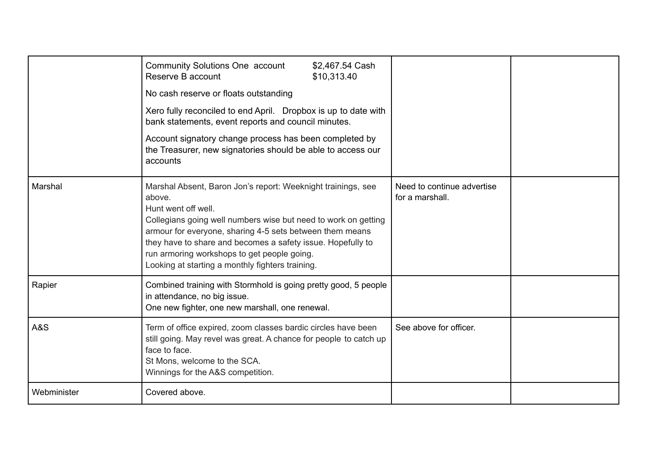|             | Community Solutions One account<br>\$2,467.54 Cash<br>Reserve B account<br>\$10,313.40<br>No cash reserve or floats outstanding<br>Xero fully reconciled to end April. Dropbox is up to date with<br>bank statements, event reports and council minutes.<br>Account signatory change process has been completed by<br>the Treasurer, new signatories should be able to access our<br>accounts |                                               |  |
|-------------|-----------------------------------------------------------------------------------------------------------------------------------------------------------------------------------------------------------------------------------------------------------------------------------------------------------------------------------------------------------------------------------------------|-----------------------------------------------|--|
| Marshal     | Marshal Absent, Baron Jon's report: Weeknight trainings, see<br>above.<br>Hunt went off well.<br>Collegians going well numbers wise but need to work on getting<br>armour for everyone, sharing 4-5 sets between them means<br>they have to share and becomes a safety issue. Hopefully to<br>run armoring workshops to get people going.<br>Looking at starting a monthly fighters training. | Need to continue advertise<br>for a marshall. |  |
| Rapier      | Combined training with Stormhold is going pretty good, 5 people<br>in attendance, no big issue.<br>One new fighter, one new marshall, one renewal.                                                                                                                                                                                                                                            |                                               |  |
| A&S         | Term of office expired, zoom classes bardic circles have been<br>still going. May revel was great. A chance for people to catch up<br>face to face.<br>St Mons, welcome to the SCA.<br>Winnings for the A&S competition.                                                                                                                                                                      | See above for officer.                        |  |
| Webminister | Covered above.                                                                                                                                                                                                                                                                                                                                                                                |                                               |  |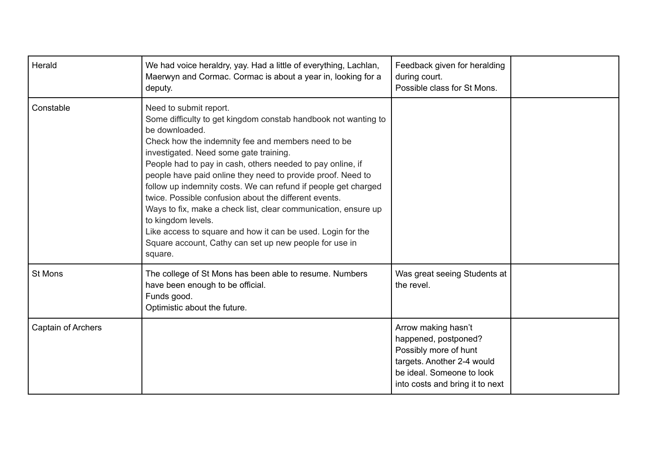| Herald             | We had voice heraldry, yay. Had a little of everything, Lachlan,<br>Maerwyn and Cormac. Cormac is about a year in, looking for a<br>deputy.                                                                                                                                                                                                                                                                                                                                                                                                                                                                                                                                                    | Feedback given for heralding<br>during court.<br>Possible class for St Mons.                                                                                       |  |
|--------------------|------------------------------------------------------------------------------------------------------------------------------------------------------------------------------------------------------------------------------------------------------------------------------------------------------------------------------------------------------------------------------------------------------------------------------------------------------------------------------------------------------------------------------------------------------------------------------------------------------------------------------------------------------------------------------------------------|--------------------------------------------------------------------------------------------------------------------------------------------------------------------|--|
| Constable          | Need to submit report.<br>Some difficulty to get kingdom constab handbook not wanting to<br>be downloaded.<br>Check how the indemnity fee and members need to be<br>investigated. Need some gate training.<br>People had to pay in cash, others needed to pay online, if<br>people have paid online they need to provide proof. Need to<br>follow up indemnity costs. We can refund if people get charged<br>twice. Possible confusion about the different events.<br>Ways to fix, make a check list, clear communication, ensure up<br>to kingdom levels.<br>Like access to square and how it can be used. Login for the<br>Square account, Cathy can set up new people for use in<br>square. |                                                                                                                                                                    |  |
| St Mons            | The college of St Mons has been able to resume. Numbers<br>have been enough to be official.<br>Funds good.<br>Optimistic about the future.                                                                                                                                                                                                                                                                                                                                                                                                                                                                                                                                                     | Was great seeing Students at<br>the revel.                                                                                                                         |  |
| Captain of Archers |                                                                                                                                                                                                                                                                                                                                                                                                                                                                                                                                                                                                                                                                                                | Arrow making hasn't<br>happened, postponed?<br>Possibly more of hunt<br>targets. Another 2-4 would<br>be ideal. Someone to look<br>into costs and bring it to next |  |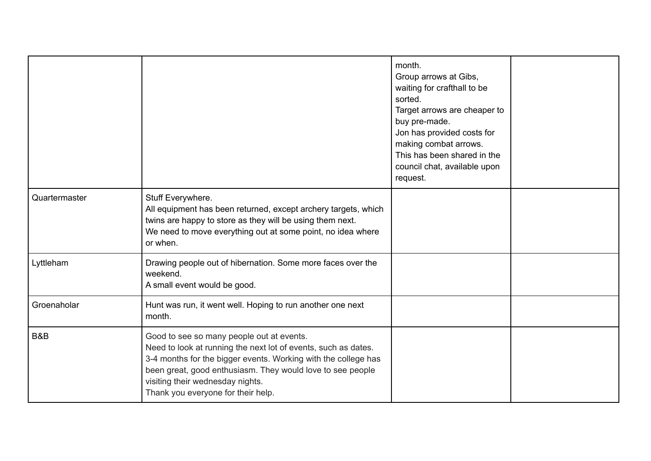|               |                                                                                                                                                                                                                                                                                                                       | month.<br>Group arrows at Gibs,<br>waiting for crafthall to be<br>sorted.<br>Target arrows are cheaper to<br>buy pre-made.<br>Jon has provided costs for<br>making combat arrows.<br>This has been shared in the<br>council chat, available upon<br>request. |  |
|---------------|-----------------------------------------------------------------------------------------------------------------------------------------------------------------------------------------------------------------------------------------------------------------------------------------------------------------------|--------------------------------------------------------------------------------------------------------------------------------------------------------------------------------------------------------------------------------------------------------------|--|
| Quartermaster | Stuff Everywhere.<br>All equipment has been returned, except archery targets, which<br>twins are happy to store as they will be using them next.<br>We need to move everything out at some point, no idea where<br>or when.                                                                                           |                                                                                                                                                                                                                                                              |  |
| Lyttleham     | Drawing people out of hibernation. Some more faces over the<br>weekend.<br>A small event would be good.                                                                                                                                                                                                               |                                                                                                                                                                                                                                                              |  |
| Groenaholar   | Hunt was run, it went well. Hoping to run another one next<br>month.                                                                                                                                                                                                                                                  |                                                                                                                                                                                                                                                              |  |
| B&B           | Good to see so many people out at events.<br>Need to look at running the next lot of events, such as dates.<br>3-4 months for the bigger events. Working with the college has<br>been great, good enthusiasm. They would love to see people<br>visiting their wednesday nights.<br>Thank you everyone for their help. |                                                                                                                                                                                                                                                              |  |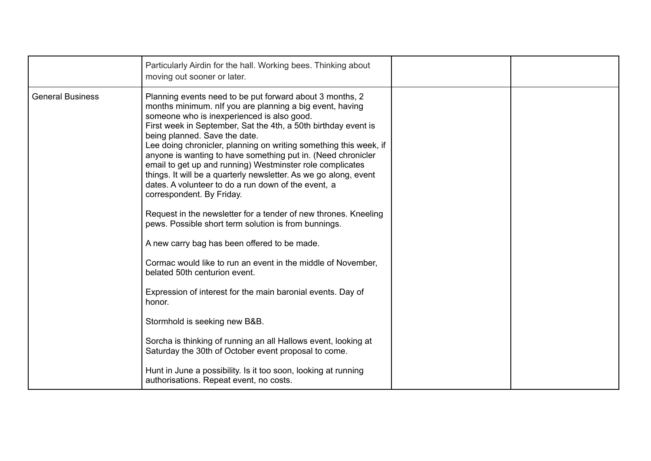|                         | Particularly Airdin for the hall. Working bees. Thinking about<br>moving out sooner or later.                                                                                                                                                                                                                                                                                                                                                                                                                                                                                                                                                                                                                                                                                                                                                                                                                                                                                                                                                                                                                                                                                                                                                                |  |
|-------------------------|--------------------------------------------------------------------------------------------------------------------------------------------------------------------------------------------------------------------------------------------------------------------------------------------------------------------------------------------------------------------------------------------------------------------------------------------------------------------------------------------------------------------------------------------------------------------------------------------------------------------------------------------------------------------------------------------------------------------------------------------------------------------------------------------------------------------------------------------------------------------------------------------------------------------------------------------------------------------------------------------------------------------------------------------------------------------------------------------------------------------------------------------------------------------------------------------------------------------------------------------------------------|--|
| <b>General Business</b> | Planning events need to be put forward about 3 months, 2<br>months minimum. nlf you are planning a big event, having<br>someone who is inexperienced is also good.<br>First week in September, Sat the 4th, a 50th birthday event is<br>being planned. Save the date.<br>Lee doing chronicler, planning on writing something this week, if<br>anyone is wanting to have something put in. (Need chronicler<br>email to get up and running) Westminster role complicates<br>things. It will be a quarterly newsletter. As we go along, event<br>dates. A volunteer to do a run down of the event, a<br>correspondent. By Friday.<br>Request in the newsletter for a tender of new thrones. Kneeling<br>pews. Possible short term solution is from bunnings.<br>A new carry bag has been offered to be made.<br>Cormac would like to run an event in the middle of November,<br>belated 50th centurion event.<br>Expression of interest for the main baronial events. Day of<br>honor.<br>Stormhold is seeking new B&B.<br>Sorcha is thinking of running an all Hallows event, looking at<br>Saturday the 30th of October event proposal to come.<br>Hunt in June a possibility. Is it too soon, looking at running<br>authorisations. Repeat event, no costs. |  |